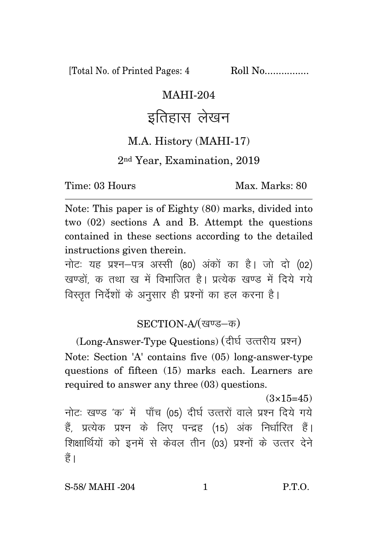[Total No. of Printed Pages: 4 Roll No.................

### MAHI-204

# इतिहास लेखन

#### M.A. History (MAHI-17)

#### 2nd Year, Examination, 2019

Time: 03 Hours Max. Marks: 80

Note: This paper is of Eighty (80) marks, divided into two (02) sections A and B. Attempt the questions contained in these sections according to the detailed instructions given therein.

नोट: यह प्रश्न-पत्र अस्सी (80) अंकों का है। जो दो (02) खण्डों क तथा ख में विभाजित है। प्रत्येक खण्ड में दिये गये विस्तृत निर्देशों के अनुसार ही प्रश्नों का हल करना है।

### SECTION-A/(खण्ड-क)

(Long-Answer-Type Questions) (दीर्घ उत्तरीय प्रश्न) Note: Section 'A' contains five (05) long-answer-type questions of fifteen (15) marks each. Learners are required to answer any three (03) questions.

 $(3\times15=45)$ 

नोटः खण्ड 'क' में पाँच (05) दीर्घ उत्तरों वाले प्रश्न दिये गये हैं, प्रत्येक प्रश्न के लिए पन्द्रह (15) अंक निर्धारित हैं। शिक्षार्थियों को इनमें से केवल तीन (03) प्रश्नों के उत्तर देने हैं।

S-58/ MAHI -204 1 P.T.O.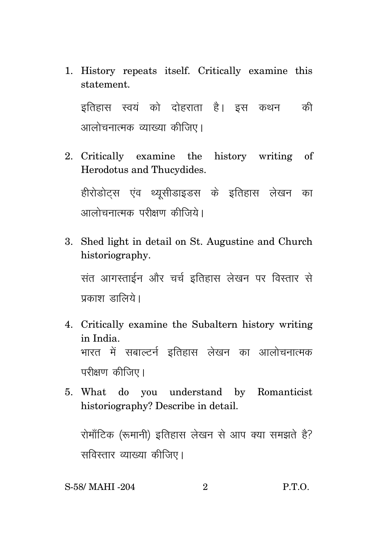1. History repeats itself. Critically examine this statement.

इतिहास स्वयं को दोहराता है। इस कथन की आलोचनात्मक व्याख्या कीजिए।

- 2. Critically examine the history writing of Herodotus and Thucydides. हीरोडोटस एंव थ्यसीडाइडस के इतिहास लेखन का आलोचनात्मक परीक्षण कीत्तिरो।
- 3. Shed light in detail on St. Augustine and Church historiography.

संत आगस्ताईन और चर्च इतिहास लेखन पर विस्तार से पकाश $\overline{\text{r}}$  , सालिये ।

- 4. Critically examine the Subaltern history writing in India. भारत में सबाल्टर्न इतिहास लेखन का आलोचनात्मक परीक्षण कीजिए।
- 5. What do you understand by Romanticist historiography? Describe in detail.

रोमॉंटिक (रूमानी) इतिहास लेखन से आप क्या समझते है? सविस्तार व्याख्या कीजिए।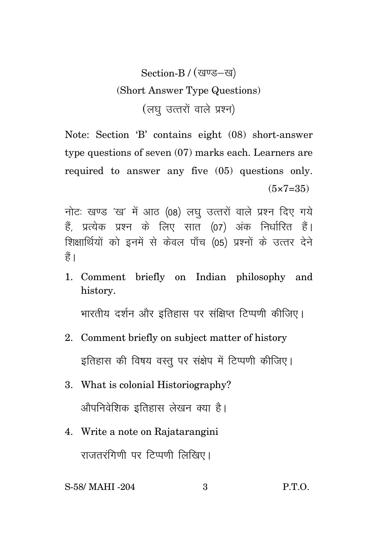## Section-B / (खण्ड-ख) (Short Answer Type Questions) (लघु उत्तरों वाले प्रश्न)

Note: Section 'B' contains eight (08) short-answer type questions of seven (07) marks each. Learners are required to answer any five (05) questions only.  $(5 \times 7 = 35)$ 

नोटः खण्ड 'ख' में आठ (08) लघु उत्तरों वाले प्रश्न दिए गये हैं. प्रत्येक प्रश्न के लिए सात (07) अंक निर्धारित हैं। शिक्षार्थियों को इनमें से केवल पाँच (05) प्रश्नों के उत्तर देने हैं।

1. Comment briefly on Indian philosophy and history.

भारतीय दर्शन और इतिहास पर संक्षिप्त टिप्पणी कीजिए।

- 2. Comment briefly on subject matter of history इतिहास की विषय वस्तु पर संक्षेप में टिप्पणी कीजिए।
- 3. What is colonial Historiography? ओपनिवेशिक इतिहास लेखन क्या है।
- 4. Write a note on Rajatarangini

राजतरंगिणी पर टिप्पणी लिखिए।